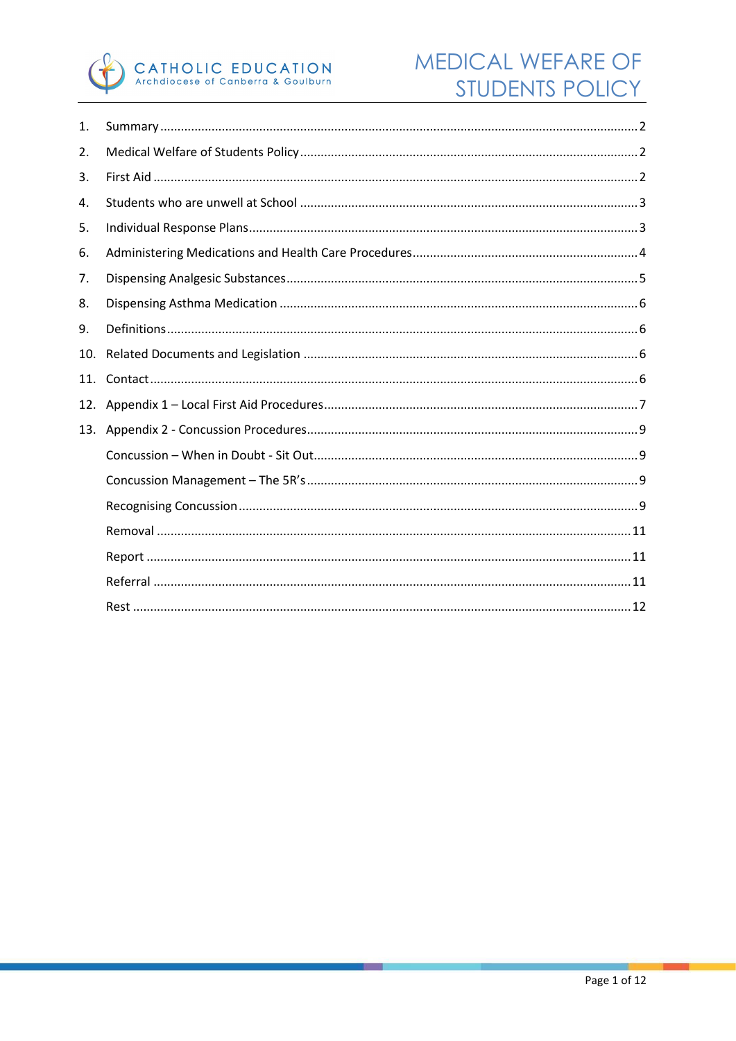

| 1.  |  |  |  |
|-----|--|--|--|
| 2.  |  |  |  |
| 3.  |  |  |  |
| 4.  |  |  |  |
| 5.  |  |  |  |
| 6.  |  |  |  |
| 7.  |  |  |  |
| 8.  |  |  |  |
| 9.  |  |  |  |
| 10. |  |  |  |
| 11. |  |  |  |
| 12. |  |  |  |
| 13. |  |  |  |
|     |  |  |  |
|     |  |  |  |
|     |  |  |  |
|     |  |  |  |
|     |  |  |  |
|     |  |  |  |
|     |  |  |  |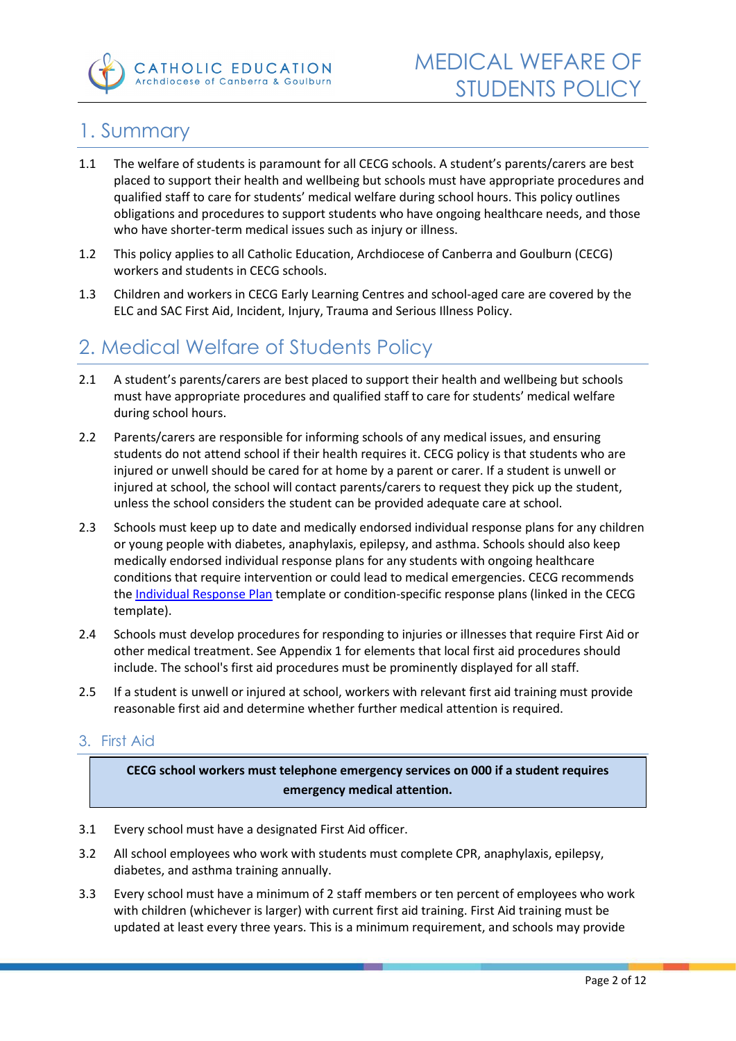

# <span id="page-1-0"></span>1. Summary

- 1.1 The welfare of students is paramount for all CECG schools. A student's parents/carers are best placed to support their health and wellbeing but schools must have appropriate procedures and qualified staff to care for students' medical welfare during school hours. This policy outlines obligations and procedures to support students who have ongoing healthcare needs, and those who have shorter-term medical issues such as injury or illness.
- 1.2 This policy applies to all Catholic Education, Archdiocese of Canberra and Goulburn (CECG) workers and students in CECG schools.
- 1.3 Children and workers in CECG Early Learning Centres and school-aged care are covered by the ELC and SAC First Aid, Incident, Injury, Trauma and Serious Illness Policy.

# <span id="page-1-1"></span>2. Medical Welfare of Students Policy

- 2.1 A student's parents/carers are best placed to support their health and wellbeing but schools must have appropriate procedures and qualified staff to care for students' medical welfare during school hours.
- 2.2 Parents/carers are responsible for informing schools of any medical issues, and ensuring students do not attend school if their health requires it. CECG policy is that students who are injured or unwell should be cared for at home by a parent or carer. If a student is unwell or injured at school, the school will contact parents/carers to request they pick up the student, unless the school considers the student can be provided adequate care at school.
- 2.3 Schools must keep up to date and medically endorsed individual response plans for any children or young people with diabetes, anaphylaxis, epilepsy, and asthma. Schools should also keep medically endorsed individual response plans for any students with ongoing healthcare conditions that require intervention or could lead to medical emergencies. CECG recommends the Individual Response Plan template or condition-specific response plans (linked in the CECG template).
- 2.4 Schools must develop procedures for responding to injuries or illnesses that require First Aid or other medical treatment. See Appendix 1 for elements that local first aid procedures should include. The school's first aid procedures must be prominently displayed for all staff.
- 2.5 If a student is unwell or injured at school, workers with relevant first aid training must provide reasonable first aid and determine whether further medical attention is required.

## <span id="page-1-2"></span>3. First Aid

**CECG school workers must telephone emergency services on 000 if a student requires emergency medical attention.** 

- 3.1 Every school must have a designated First Aid officer.
- 3.2 All school employees who work with students must complete CPR, anaphylaxis, epilepsy, diabetes, and asthma training annually.
- 3.3 Every school must have a minimum of 2 staff members or ten percent of employees who work with children (whichever is larger) with current first aid training. First Aid training must be updated at least every three years. This is a minimum requirement, and schools may provide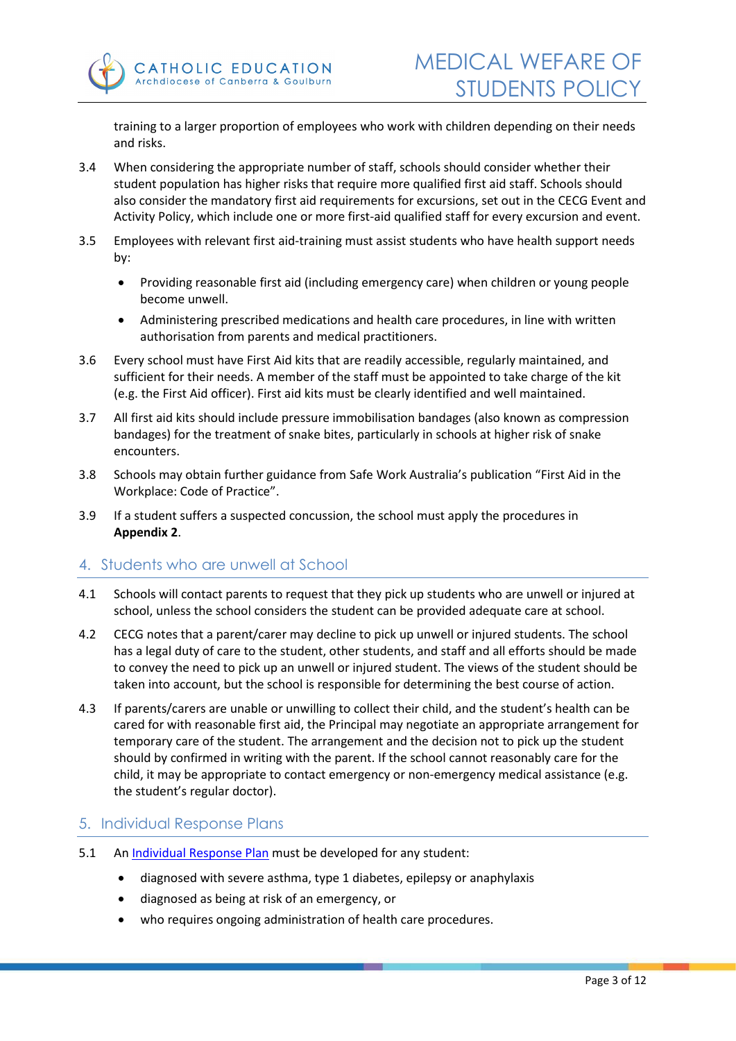training to a larger proportion of employees who work with children depending on their needs and risks.

- 3.4 When considering the appropriate number of staff, schools should consider whether their student population has higher risks that require more qualified first aid staff. Schools should also consider the mandatory first aid requirements for excursions, set out in the CECG Event and Activity Policy, which include one or more first-aid qualified staff for every excursion and event.
- 3.5 Employees with relevant first aid-training must assist students who have health support needs by:
	- Providing reasonable first aid (including emergency care) when children or young people become unwell.
	- Administering prescribed medications and health care procedures, in line with written authorisation from parents and medical practitioners.
- 3.6 Every school must have First Aid kits that are readily accessible, regularly maintained, and sufficient for their needs. A member of the staff must be appointed to take charge of the kit (e.g. the First Aid officer). First aid kits must be clearly identified and well maintained.
- 3.7 All first aid kits should include pressure immobilisation bandages (also known as compression bandages) for the treatment of snake bites, particularly in schools at higher risk of snake encounters.
- 3.8 Schools may obtain further guidance from Safe Work Australia's publication "First Aid in the Workplace: Code of Practice".
- 3.9 If a student suffers a suspected concussion, the school must apply the procedures in **Appendix 2**.

## <span id="page-2-0"></span>4. Students who are unwell at School

- 4.1 Schools will contact parents to request that they pick up students who are unwell or injured at school, unless the school considers the student can be provided adequate care at school.
- 4.2 CECG notes that a parent/carer may decline to pick up unwell or injured students. The school has a legal duty of care to the student, other students, and staff and all efforts should be made to convey the need to pick up an unwell or injured student. The views of the student should be taken into account, but the school is responsible for determining the best course of action.
- 4.3 If parents/carers are unable or unwilling to collect their child, and the student's health can be cared for with reasonable first aid, the Principal may negotiate an appropriate arrangement for temporary care of the student. The arrangement and the decision not to pick up the student should by confirmed in writing with the parent. If the school cannot reasonably care for the child, it may be appropriate to contact emergency or non-emergency medical assistance (e.g. the student's regular doctor).

### <span id="page-2-1"></span>5. Individual Response Plans

- 5.1 An [Individual Response Plan](https://intranet.cg.catholic.edu.au/formandpolicies/PolicyLibrary/Lists/PolicyList/Attachments/204/Individual%20Medical%20Response%20Plan.pdf) must be developed for any student:
	- diagnosed with severe asthma, type 1 diabetes, epilepsy or anaphylaxis
	- diagnosed as being at risk of an emergency, or
	- who requires ongoing administration of health care procedures.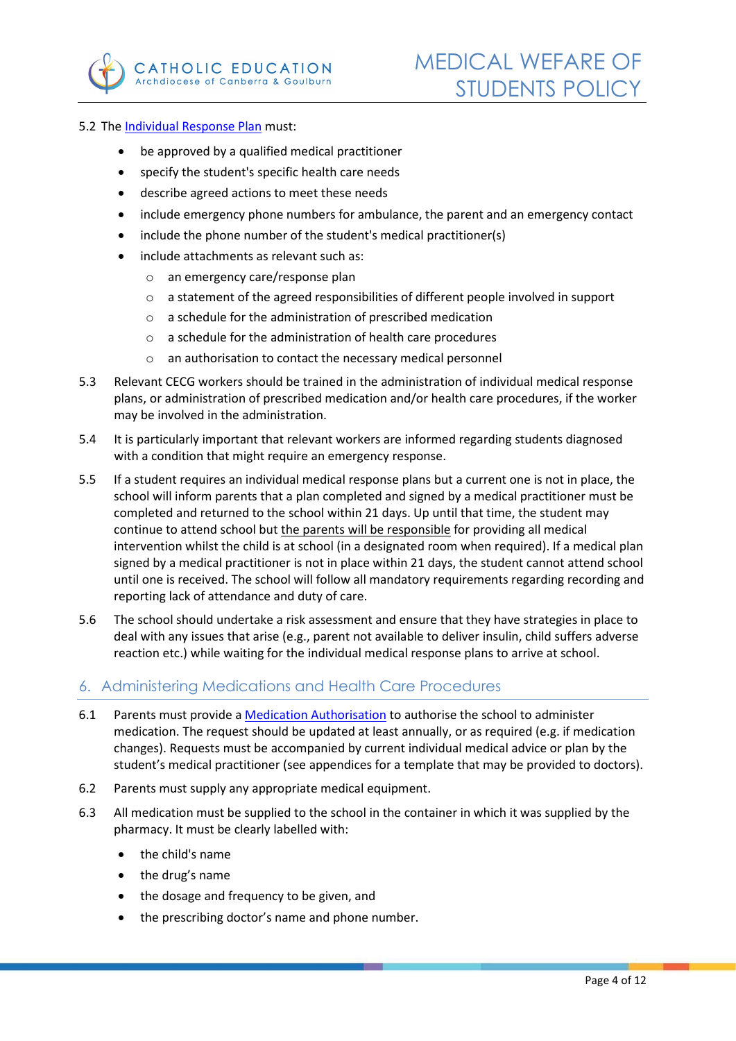

#### 5.2 The [Individual Response Plan](https://intranet.cg.catholic.edu.au/formandpolicies/PolicyLibrary/Lists/PolicyList/Attachments/204/Individual%20Medical%20Response%20Plan.pdf) must:

- be approved by a qualified medical practitioner
- specify the student's specific health care needs
- describe agreed actions to meet these needs
- include emergency phone numbers for ambulance, the parent and an emergency contact
- include the phone number of the student's medical practitioner(s)
- include attachments as relevant such as:
	- o an emergency care/response plan
	- $\circ$  a statement of the agreed responsibilities of different people involved in support
	- o a schedule for the administration of prescribed medication
	- o a schedule for the administration of health care procedures
	- o an authorisation to contact the necessary medical personnel
- 5.3 Relevant CECG workers should be trained in the administration of individual medical response plans, or administration of prescribed medication and/or health care procedures, if the worker may be involved in the administration.
- 5.4 It is particularly important that relevant workers are informed regarding students diagnosed with a condition that might require an emergency response.
- 5.5 If a student requires an individual medical response plans but a current one is not in place, the school will inform parents that a plan completed and signed by a medical practitioner must be completed and returned to the school within 21 days. Up until that time, the student may continue to attend school but the parents will be responsible for providing all medical intervention whilst the child is at school (in a designated room when required). If a medical plan signed by a medical practitioner is not in place within 21 days, the student cannot attend school until one is received. The school will follow all mandatory requirements regarding recording and reporting lack of attendance and duty of care.
- 5.6 The school should undertake a risk assessment and ensure that they have strategies in place to deal with any issues that arise (e.g., parent not available to deliver insulin, child suffers adverse reaction etc.) while waiting for the individual medical response plans to arrive at school.

### <span id="page-3-0"></span>6. Administering Medications and Health Care Procedures

- 6.1 Parents must provide a [Medication Authorisation](https://intranet.cg.catholic.edu.au/formandpolicies/PolicyLibrary/Lists/PolicyList/Attachments/51/School%20Sports%20Policy.pdf) to authorise the school to administer medication. The request should be updated at least annually, or as required (e.g. if medication changes). Requests must be accompanied by current individual medical advice or plan by the student's medical practitioner (see appendices for a template that may be provided to doctors).
- 6.2 Parents must supply any appropriate medical equipment.
- 6.3 All medication must be supplied to the school in the container in which it was supplied by the pharmacy. It must be clearly labelled with:
	- the child's name
	- the drug's name
	- the dosage and frequency to be given, and
	- the prescribing doctor's name and phone number.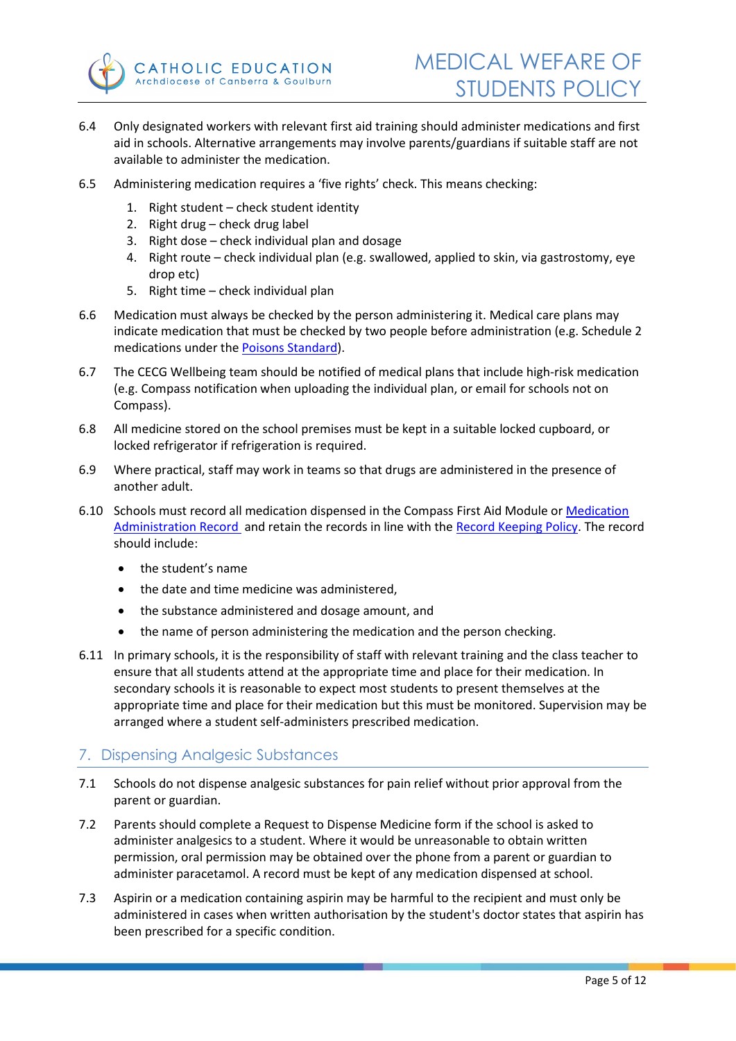

- 6.4 Only designated workers with relevant first aid training should administer medications and first aid in schools. Alternative arrangements may involve parents/guardians if suitable staff are not available to administer the medication.
- 6.5 Administering medication requires a 'five rights' check. This means checking:
	- 1. Right student check student identity
	- 2. Right drug check drug label
	- 3. Right dose check individual plan and dosage
	- 4. Right route check individual plan (e.g. swallowed, applied to skin, via gastrostomy, eye drop etc)
	- 5. Right time check individual plan
- 6.6 Medication must always be checked by the person administering it. Medical care plans may indicate medication that must be checked by two people before administration (e.g. Schedule 2 medications under the [Poisons Standard\)](https://www.tga.gov.au/scheduling-basics).
- 6.7 The CECG Wellbeing team should be notified of medical plans that include high-risk medication (e.g. Compass notification when uploading the individual plan, or email for schools not on Compass).
- 6.8 All medicine stored on the school premises must be kept in a suitable locked cupboard, or locked refrigerator if refrigeration is required.
- 6.9 Where practical, staff may work in teams so that drugs are administered in the presence of another adult.
- 6.10 Schools must record all medication dispensed in the Compass First Aid Module or Medication Administration Record and retain the records in line with the [Record Keeping Policy.](https://intranet.cg.catholic.edu.au/formandpolicies/PolicyLibrary/Lists/PolicyList/Attachments/200/Medication%20Authorisation%20and%20Administration%20Record.pdf) The record should include:
	- the student's name
	- the date and time medicine was administered,
	- the substance administered and dosage amount, and
	- the name of person administering the medication and the person checking.
- 6.11 In primary schools, it is the responsibility of staff with relevant training and the class teacher to ensure that all students attend at the appropriate time and place for their medication. In secondary schools it is reasonable to expect most students to present themselves at the appropriate time and place for their medication but this must be monitored. Supervision may be arranged where a student self-administers prescribed medication.

### <span id="page-4-0"></span>7. Dispensing Analgesic Substances

- 7.1 Schools do not dispense analgesic substances for pain relief without prior approval from the parent or guardian.
- 7.2 Parents should complete a Request to Dispense Medicine form if the school is asked to administer analgesics to a student. Where it would be unreasonable to obtain written permission, oral permission may be obtained over the phone from a parent or guardian to administer paracetamol. A record must be kept of any medication dispensed at school.
- 7.3 Aspirin or a medication containing aspirin may be harmful to the recipient and must only be administered in cases when written authorisation by the student's doctor states that aspirin has been prescribed for a specific condition.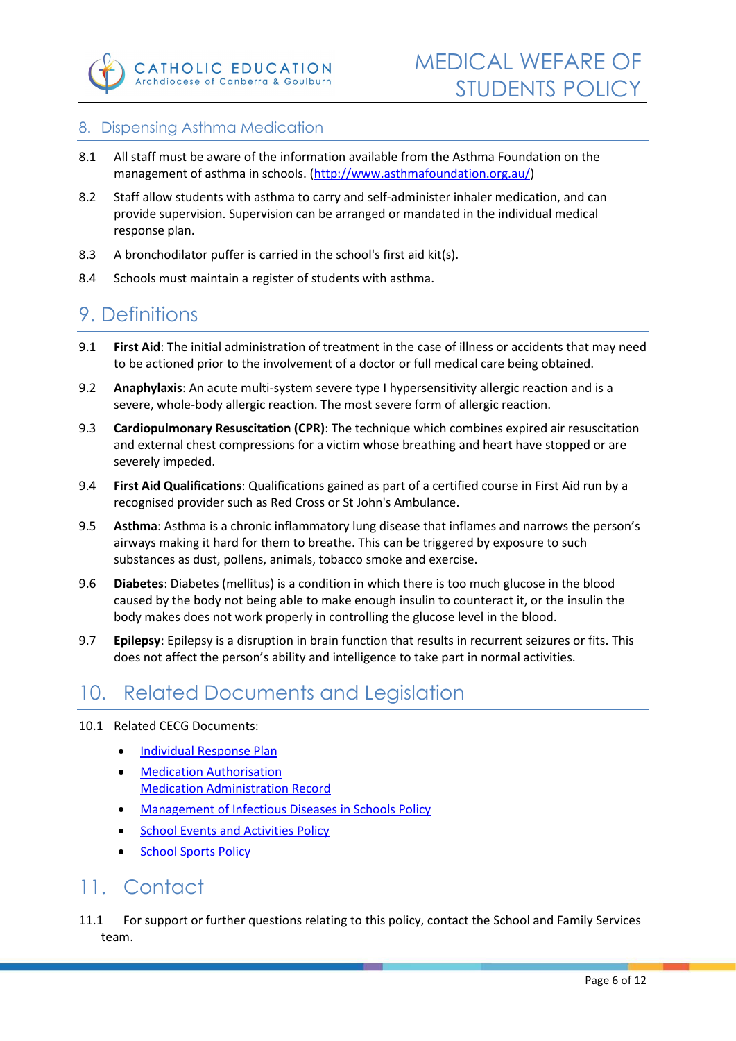

### <span id="page-5-0"></span>8. Dispensing Asthma Medication

- 8.1 All staff must be aware of the information available from the Asthma Foundation on the management of asthma in schools. [\(http://www.asthmafoundation.org.au/\)](http://www.asthmafoundation.org.au/)
- 8.2 Staff allow students with asthma to carry and self-administer inhaler medication, and can provide supervision. Supervision can be arranged or mandated in the individual medical response plan.
- 8.3 A bronchodilator puffer is carried in the school's first aid kit(s).
- 8.4 Schools must maintain a register of students with asthma.

# <span id="page-5-1"></span>9. Definitions

- 9.1 **First Aid**: The initial administration of treatment in the case of illness or accidents that may need to be actioned prior to the involvement of a doctor or full medical care being obtained.
- 9.2 **Anaphylaxis**: An acute multi-system severe type I hypersensitivity allergic reaction and is a severe, whole-body allergic reaction. The most severe form of allergic reaction.
- 9.3 **Cardiopulmonary Resuscitation (CPR)**: The technique which combines expired air resuscitation and external chest compressions for a victim whose breathing and heart have stopped or are severely impeded.
- 9.4 **First Aid Qualifications**: Qualifications gained as part of a certified course in First Aid run by a recognised provider such as Red Cross or St John's Ambulance.
- 9.5 **Asthma**: Asthma is a chronic inflammatory lung disease that inflames and narrows the person's airways making it hard for them to breathe. This can be triggered by exposure to such substances as dust, pollens, animals, tobacco smoke and exercise.
- 9.6 **Diabetes**: Diabetes (mellitus) is a condition in which there is too much glucose in the blood caused by the body not being able to make enough insulin to counteract it, or the insulin the body makes does not work properly in controlling the glucose level in the blood.
- 9.7 **Epilepsy**: Epilepsy is a disruption in brain function that results in recurrent seizures or fits. This does not affect the person's ability and intelligence to take part in normal activities.

# <span id="page-5-2"></span>10. Related Documents and Legislation

- 10.1 Related CECG Documents:
	- [Individual Response Plan](https://intranet.cg.catholic.edu.au/formandpolicies/PolicyLibrary/Lists/PolicyList/Attachments/204/Individual%20Medical%20Response%20Plan.pdf)
	- [Medication Authorisation](https://intranet.cg.catholic.edu.au/formandpolicies/PolicyLibrary/Lists/PolicyList/Attachments/202/Medication%20Authorisation.pdf)  [Medication Administration Record](https://intranet.cg.catholic.edu.au/formandpolicies/PolicyLibrary/Lists/PolicyList/Attachments/203/Medication%20Administration%20Record.pdf)
	- **Management of Infectious Diseases in Schools Policy**
	- **[School Events and Activities Policy](https://intranet.cg.catholic.edu.au/formandpolicies/PolicyLibrary/Lists/PolicyList/Attachments/48/School%20Events%20and%20Activities%20Policy.pdf)**
	- **School Sports Policy**

# <span id="page-5-3"></span>11. Contact

11.1 For support or further questions relating to this policy, contact the School and Family Services team.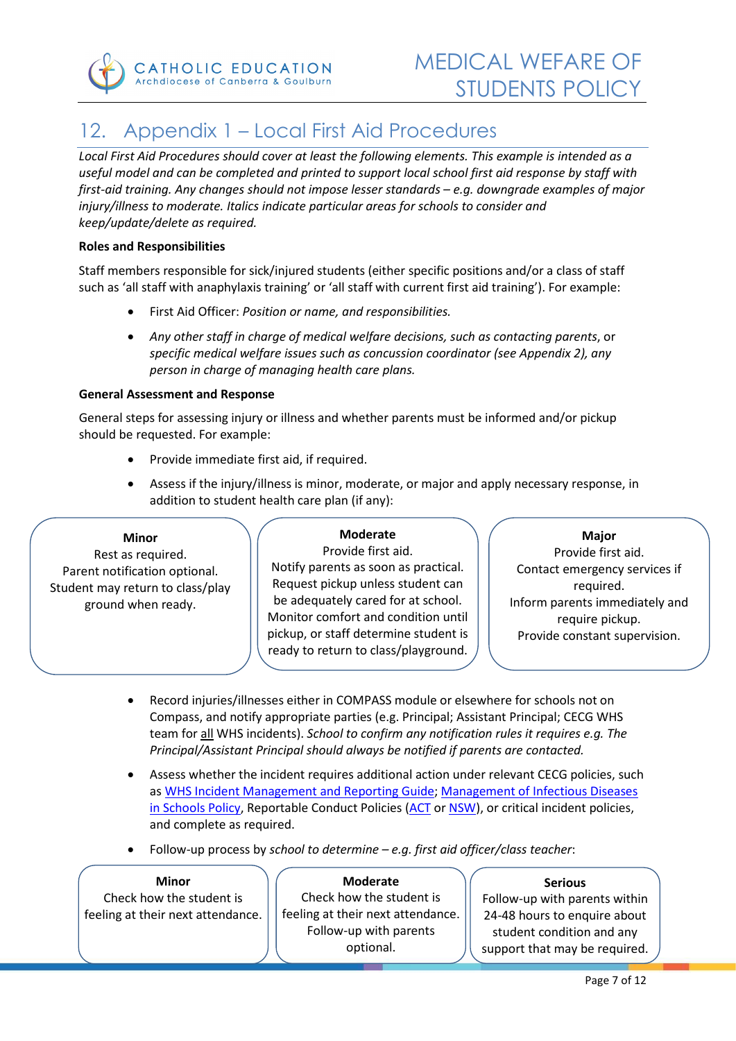

# <span id="page-6-0"></span>12. Appendix 1 – Local First Aid Procedures

*Local First Aid Procedures should cover at least the following elements. This example is intended as a useful model and can be completed and printed to support local school first aid response by staff with first-aid training. Any changes should not impose lesser standards – e.g. downgrade examples of major*  injury/illness to moderate. Italics indicate particular areas for schools to consider and *keep/update/delete as required.*

#### **Roles and Responsibilities**

Staff members responsible for sick/injured students (either specific positions and/or a class of staff such as 'all staff with anaphylaxis training' or 'all staff with current first aid training'). For example:

- First Aid Officer: *Position or name, and responsibilities.*
- *Any other staff in charge of medical welfare decisions, such as contacting parents*, or *specific medical welfare issues such as concussion coordinator (see Appendix 2), any person in charge of managing health care plans.*

#### **General Assessment and Response**

General steps for assessing injury or illness and whether parents must be informed and/or pickup should be requested. For example:

- Provide immediate first aid, if required.
- Assess if the injury/illness is minor, moderate, or major and apply necessary response, in addition to student health care plan (if any):

#### **Minor**

Rest as required. Parent notification optional. Student may return to class/play ground when ready.

#### **Moderate**

Provide first aid. Notify parents as soon as practical. Request pickup unless student can be adequately cared for at school. Monitor comfort and condition until pickup, or staff determine student is ready to return to class/playground.

#### **Major** Provide first aid.

Contact emergency services if required. Inform parents immediately and require pickup. Provide constant supervision.

- Record injuries/illnesses either in COMPASS module or elsewhere for schools not on Compass, and notify appropriate parties (e.g. Principal; Assistant Principal; CECG WHS team for all WHS incidents). *School to confirm any notification rules it requires e.g. The Principal/Assistant Principal should always be notified if parents are contacted.*
- Assess whether the incident requires additional action under relevant CECG policies, such as WHS Incident Management and Reporting Guide; [Management of Infectious Diseases](https://intranet.cg.catholic.edu.au/formandpolicies/PolicyLibrary/Lists/PolicyList/Attachments/7/Management%20of%20Infectious%20Diseases%20in%20Schools%20Policy.pdf)  [in Schools Policy,](https://intranet.cg.catholic.edu.au/formandpolicies/PolicyLibrary/Lists/PolicyList/Attachments/7/Management%20of%20Infectious%20Diseases%20in%20Schools%20Policy.pdf) Reportable Conduct Policies [\(ACT](https://intranet.cg.catholic.edu.au/formandpolicies/PolicyLibrary/Lists/PolicyList/Attachments/48/School%20Events%20and%20Activities%20Policy.pdf) or [NSW\)](https://intranet.cg.catholic.edu.au/formandpolicies/PolicyLibrary/Lists/PolicyList/Attachments/36/WHS%20Incident%20Management%20and%20Reporting%20Guide.pdf), or critical incident policies, and complete as required.
- Follow-up process by *school to determine e.g. first aid officer/class teacher*:

#### **Minor**

Check how the student is feeling at their next attendance.

#### **Moderate**

Check how the student is feeling at their next attendance. Follow-up with parents optional.

#### **Serious**

Follow-up with parents within 24-48 hours to enquire about student condition and any support that may be required.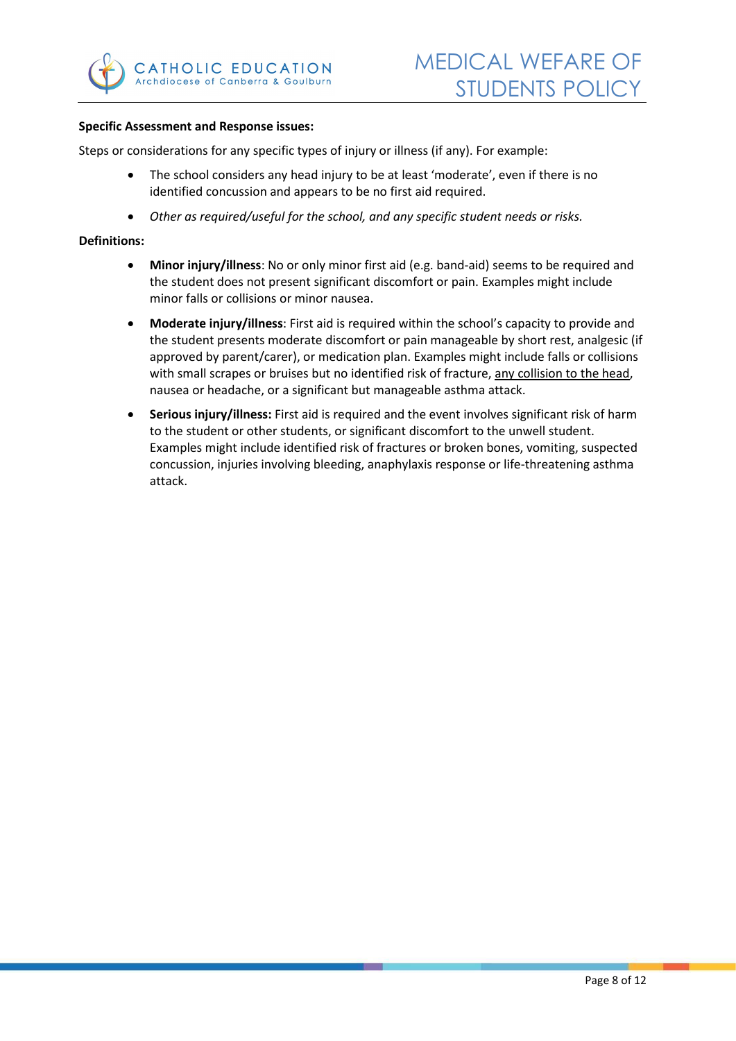

#### **Specific Assessment and Response issues:**

Steps or considerations for any specific types of injury or illness (if any). For example:

- The school considers any head injury to be at least 'moderate', even if there is no identified concussion and appears to be no first aid required.
- *Other as required/useful for the school, and any specific student needs or risks.*

#### **Definitions:**

- **Minor injury/illness**: No or only minor first aid (e.g. band-aid) seems to be required and the student does not present significant discomfort or pain. Examples might include minor falls or collisions or minor nausea.
- **Moderate injury/illness**: First aid is required within the school's capacity to provide and the student presents moderate discomfort or pain manageable by short rest, analgesic (if approved by parent/carer), or medication plan. Examples might include falls or collisions with small scrapes or bruises but no identified risk of fracture, any collision to the head, nausea or headache, or a significant but manageable asthma attack.
- **Serious injury/illness:** First aid is required and the event involves significant risk of harm to the student or other students, or significant discomfort to the unwell student. Examples might include identified risk of fractures or broken bones, vomiting, suspected concussion, injuries involving bleeding, anaphylaxis response or life-threatening asthma attack.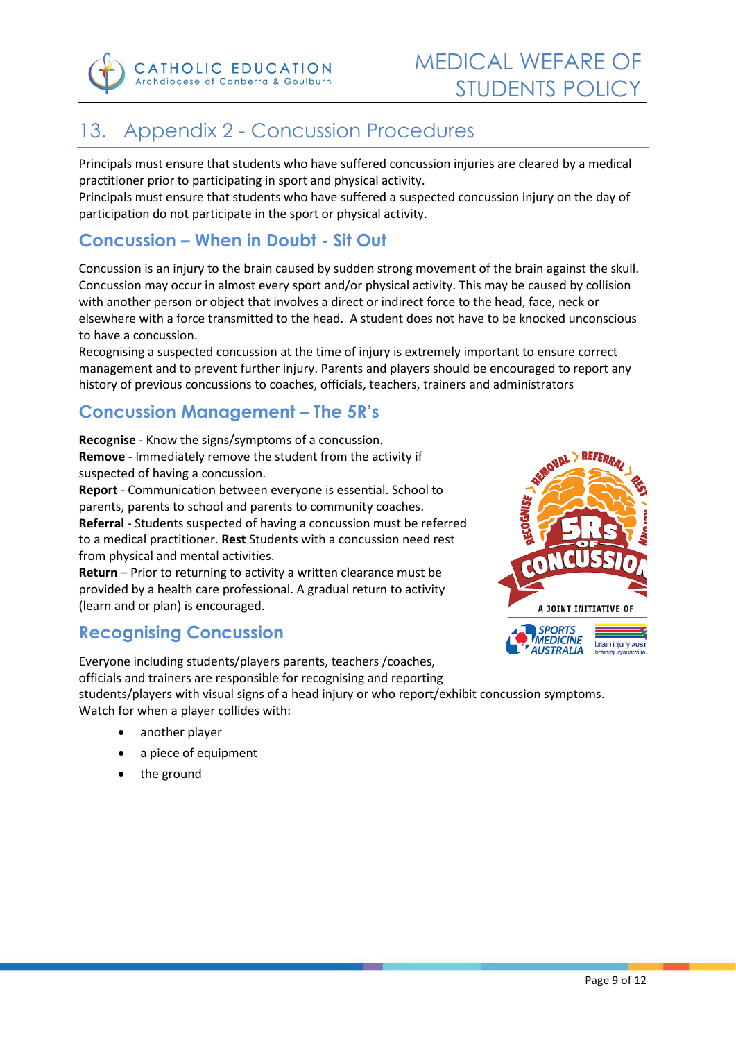

# <span id="page-8-0"></span>13. Appendix 2 - Concussion Procedures

Principals must ensure that students who have suffered concussion injuries are cleared by a medical practitioner prior to participating in sport and physical activity.

Principals must ensure that students who have suffered a suspected concussion injury on the day of participation do not participate in the sport or physical activity.

# <span id="page-8-1"></span>**Concussion – When in Doubt - Sit Out**

Concussion is an injury to the brain caused by sudden strong movement of the brain against the skull. Concussion may occur in almost every sport and/or physical activity. This may be caused by collision with another person or object that involves a direct or indirect force to the head, face, neck or elsewhere with a force transmitted to the head. A student does not have to be knocked unconscious to have a concussion.

Recognising a suspected concussion at the time of injury is extremely important to ensure correct management and to prevent further injury. Parents and players should be encouraged to report any history of previous concussions to coaches, officials, teachers, trainers and administrators

# <span id="page-8-2"></span>**Concussion Management – The 5R's**

**Recognise** - Know the signs/symptoms of a concussion. **Remove** - Immediately remove the student from the activity if suspected of having a concussion.

**Report** - Communication between everyone is essential. School to parents, parents to school and parents to community coaches. **Referral** - Students suspected of having a concussion must be referred to a medical practitioner. **Rest** Students with a concussion need rest from physical and mental activities.

**Return** – Prior to returning to activity a written clearance must be provided by a health care professional. A gradual return to activity (learn and or plan) is encouraged.

# <span id="page-8-3"></span>**Recognising Concussion**

Everyone including students/players parents, teachers /coaches, officials and trainers are responsible for recognising and reporting

students/players with visual signs of a head injury or who report/exhibit concussion symptoms. Watch for when a player collides with:

- another player
- a piece of equipment
- the ground

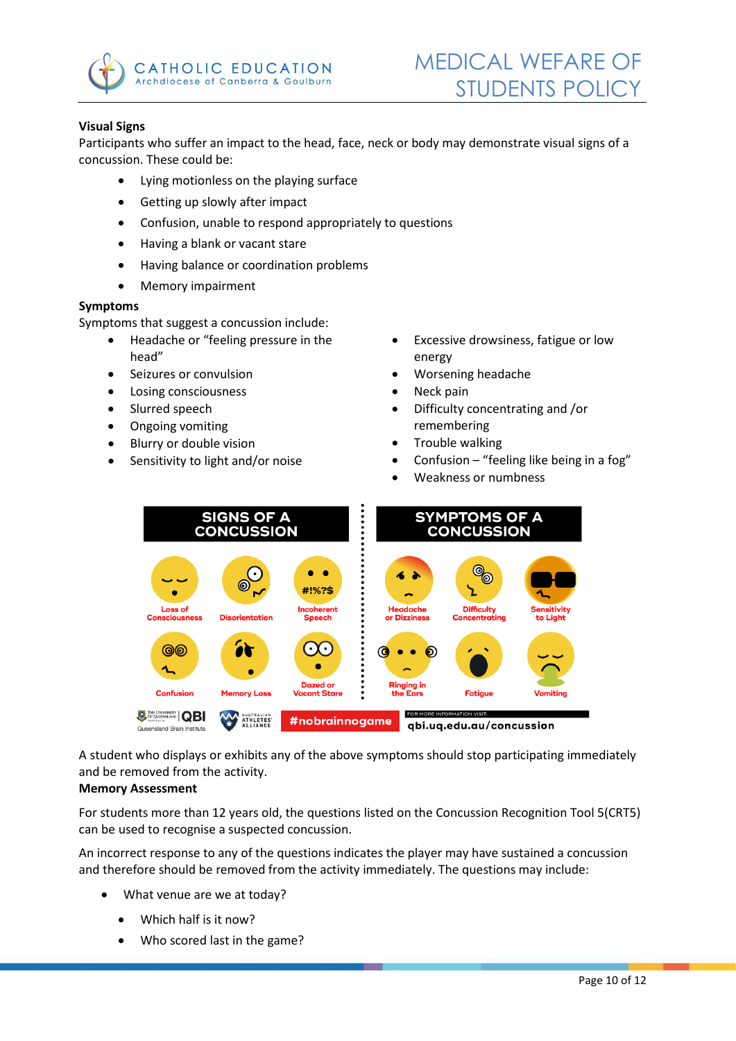

### **Visual Signs**

Participants who suffer an impact to the head, face, neck or body may demonstrate visual signs of a concussion. These could be:

- Lying motionless on the playing surface
- Getting up slowly after impact
- Confusion, unable to respond appropriately to questions
- Having a blank or vacant stare
- Having balance or coordination problems
- Memory impairment

#### **Symptoms**

Symptoms that suggest a concussion include:

- Headache or "feeling pressure in the head"
- Seizures or convulsion
- Losing consciousness
- Slurred speech
- Ongoing vomiting
- Blurry or double vision
- Sensitivity to light and/or noise
- Excessive drowsiness, fatigue or low energy
- Worsening headache
- Neck pain
- Difficulty concentrating and /or remembering
- Trouble walking
- Confusion "feeling like being in a fog"
- Weakness or numbness



A student who displays or exhibits any of the above symptoms should stop participating immediately and be removed from the activity.

#### **Memory Assessment**

For students more than 12 years old, the questions listed on the Concussion Recognition Tool 5(CRT5) can be used to recognise a suspected concussion.

An incorrect response to any of the questions indicates the player may have sustained a concussion and therefore should be removed from the activity immediately. The questions may include:

- What venue are we at today?
	- Which half is it now?
	- Who scored last in the game?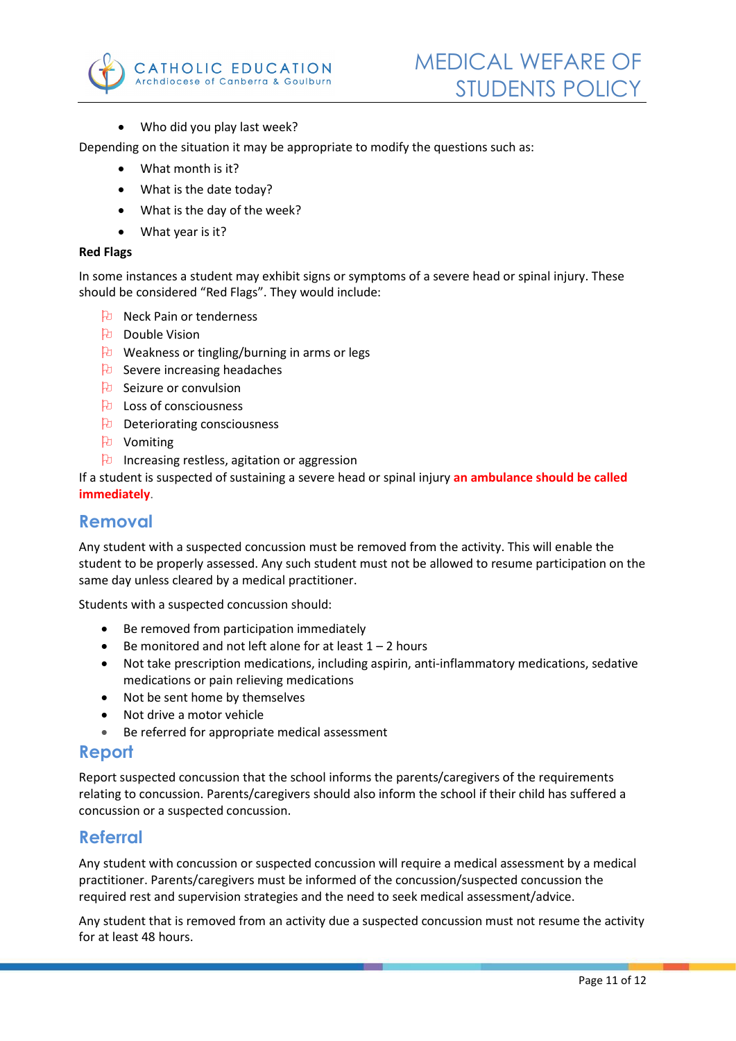

• Who did you play last week?

Depending on the situation it may be appropriate to modify the questions such as:

- What month is it?
- What is the date today?
- What is the day of the week?
- What year is it?

#### **Red Flags**

In some instances a student may exhibit signs or symptoms of a severe head or spinal injury. These should be considered "Red Flags". They would include:

- Neck Pain or tenderness
- **Double Vision**
- $\forall$  Weakness or tingling/burning in arms or legs
- **B** Severe increasing headaches
- $\theta$  Seizure or convulsion
- Loss of consciousness
- $\Theta$  Deteriorating consciousness
- **P** Vomiting
- $\theta$  Increasing restless, agitation or aggression

If a student is suspected of sustaining a severe head or spinal injury **an ambulance should be called immediately**.

## <span id="page-10-0"></span>**Removal**

Any student with a suspected concussion must be removed from the activity. This will enable the student to be properly assessed. Any such student must not be allowed to resume participation on the same day unless cleared by a medical practitioner.

Students with a suspected concussion should:

- Be removed from participation immediately
- Be monitored and not left alone for at least  $1 2$  hours
- Not take prescription medications, including aspirin, anti-inflammatory medications, sedative medications or pain relieving medications
- Not be sent home by themselves
- Not drive a motor vehicle
- Be referred for appropriate medical assessment

### <span id="page-10-1"></span>**Report**

Report suspected concussion that the school informs the parents/caregivers of the requirements relating to concussion. Parents/caregivers should also inform the school if their child has suffered a concussion or a suspected concussion.

### <span id="page-10-2"></span>**Referral**

Any student with concussion or suspected concussion will require a medical assessment by a medical practitioner. Parents/caregivers must be informed of the concussion/suspected concussion the required rest and supervision strategies and the need to seek medical assessment/advice.

Any student that is removed from an activity due a suspected concussion must not resume the activity for at least 48 hours.